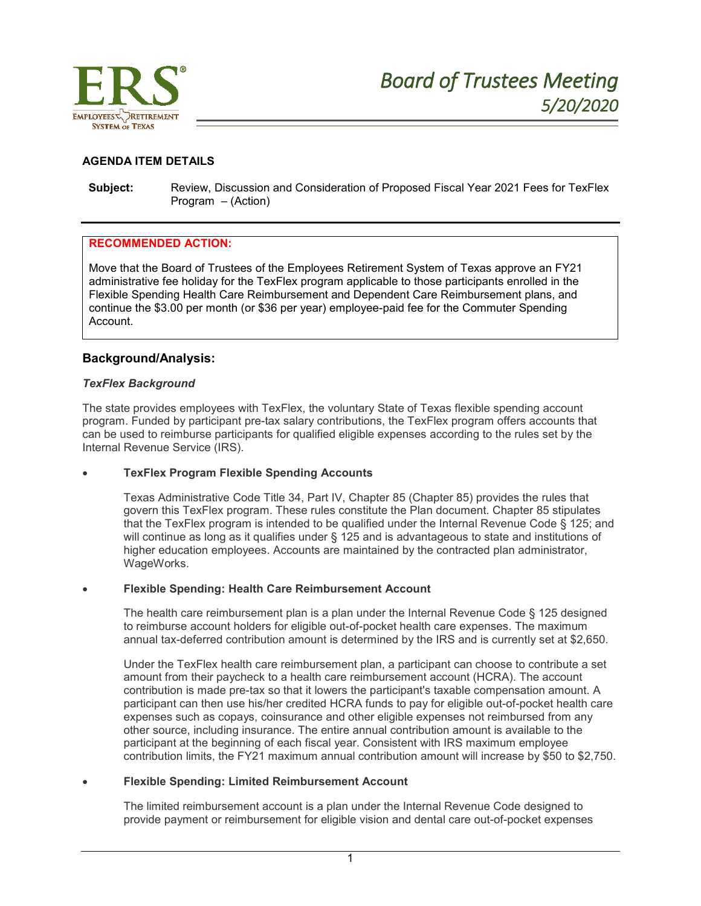

## **AGENDA ITEM DETAILS**

**Subject:** Review, Discussion and Consideration of Proposed Fiscal Year 2021 Fees for TexFlex Program – (Action)

#### **RECOMMENDED ACTION:**

Move that the Board of Trustees of the Employees Retirement System of Texas approve an FY21 administrative fee holiday for the TexFlex program applicable to those participants enrolled in the Flexible Spending Health Care Reimbursement and Dependent Care Reimbursement plans, and continue the \$3.00 per month (or \$36 per year) employee-paid fee for the Commuter Spending Account.

#### **Background/Analysis:**

#### *TexFlex Background*

The state provides employees with TexFlex, the voluntary State of Texas flexible spending account program. Funded by participant pre-tax salary contributions, the TexFlex program offers accounts that can be used to reimburse participants for qualified eligible expenses according to the rules set by the Internal Revenue Service (IRS).

#### **TexFlex Program Flexible Spending Accounts**

Texas Administrative Code Title 34, Part IV, Chapter 85 (Chapter 85) provides the rules that govern this TexFlex program. These rules constitute the Plan document. Chapter 85 stipulates that the TexFlex program is intended to be qualified under the Internal Revenue Code § 125; and will continue as long as it qualifies under § 125 and is advantageous to state and institutions of higher education employees. Accounts are maintained by the contracted plan administrator, WageWorks.

#### **Flexible Spending: Health Care Reimbursement Account**

The health care reimbursement plan is a plan under the Internal Revenue Code § 125 designed to reimburse account holders for eligible out-of-pocket health care expenses. The maximum annual tax-deferred contribution amount is determined by the IRS and is currently set at \$2,650.

Under the TexFlex health care reimbursement plan, a participant can choose to contribute a set amount from their paycheck to a health care reimbursement account (HCRA). The account contribution is made pre-tax so that it lowers the participant's taxable compensation amount. A participant can then use his/her credited HCRA funds to pay for eligible out-of-pocket health care expenses such as copays, coinsurance and other eligible expenses not reimbursed from any other source, including insurance. The entire annual contribution amount is available to the participant at the beginning of each fiscal year. Consistent with IRS maximum employee contribution limits, the FY21 maximum annual contribution amount will increase by \$50 to \$2,750.

#### **Flexible Spending: Limited Reimbursement Account**

The limited reimbursement account is a plan under the Internal Revenue Code designed to provide payment or reimbursement for eligible vision and dental care out-of-pocket expenses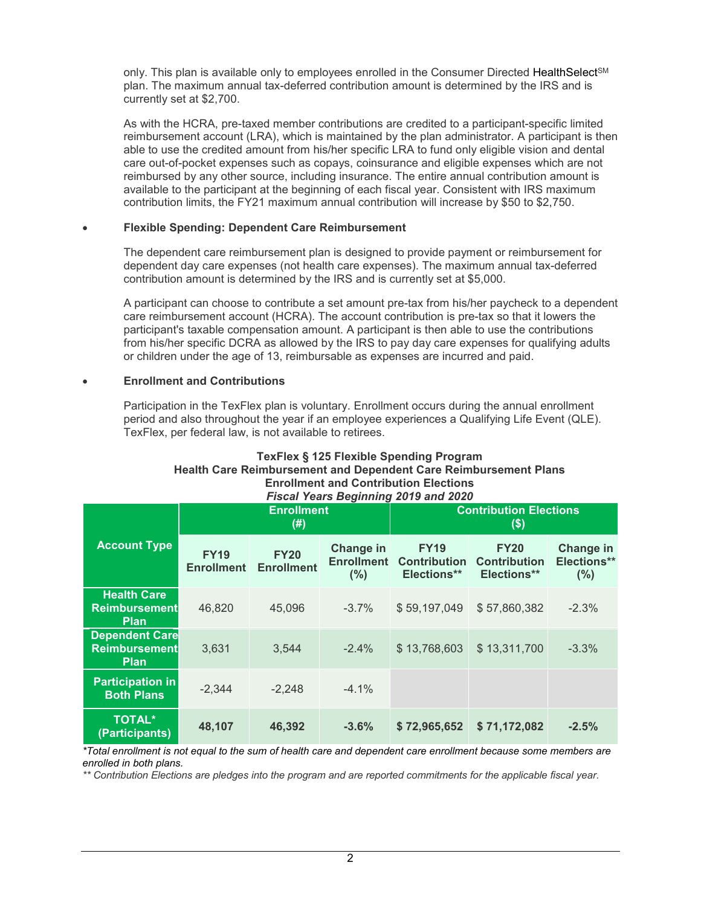only. This plan is available only to employees enrolled in the Consumer Directed HealthSelect<sup>sM</sup> plan. The maximum annual tax-deferred contribution amount is determined by the IRS and is currently set at \$2,700.

As with the HCRA, pre-taxed member contributions are credited to a participant-specific limited reimbursement account (LRA), which is maintained by the plan administrator. A participant is then able to use the credited amount from his/her specific LRA to fund only eligible vision and dental care out-of-pocket expenses such as copays, coinsurance and eligible expenses which are not reimbursed by any other source, including insurance. The entire annual contribution amount is available to the participant at the beginning of each fiscal year. Consistent with IRS maximum contribution limits, the FY21 maximum annual contribution will increase by \$50 to \$2,750.

## **Flexible Spending: Dependent Care Reimbursement**

The dependent care reimbursement plan is designed to provide payment or reimbursement for dependent day care expenses (not health care expenses). The maximum annual tax-deferred contribution amount is determined by the IRS and is currently set at \$5,000.

A participant can choose to contribute a set amount pre-tax from his/her paycheck to a dependent care reimbursement account (HCRA). The account contribution is pre-tax so that it lowers the participant's taxable compensation amount. A participant is then able to use the contributions from his/her specific DCRA as allowed by the IRS to pay day care expenses for qualifying adults or children under the age of 13, reimbursable as expenses are incurred and paid.

## **Enrollment and Contributions**

Participation in the TexFlex plan is voluntary. Enrollment occurs during the annual enrollment period and also throughout the year if an employee experiences a Qualifying Life Event (QLE). TexFlex, per federal law, is not available to retirees.

#### **TexFlex § 125 Flexible Spending Program Health Care Reimbursement and Dependent Care Reimbursement Plans Enrollment and Contribution Elections** *Fiscal Years Beginning 2019 and 2020*

|                                                              | <b>There I can't Degitionly Ly 10 and LyLy</b><br><b>Enrollment</b><br>(# ) |                                  |                                       | <b>Contribution Elections</b><br>\$)              |                                                   |                                 |
|--------------------------------------------------------------|-----------------------------------------------------------------------------|----------------------------------|---------------------------------------|---------------------------------------------------|---------------------------------------------------|---------------------------------|
| <b>Account Type</b>                                          | <b>FY19</b><br><b>Enrollment</b>                                            | <b>FY20</b><br><b>Enrollment</b> | Change in<br><b>Enrollment</b><br>(%) | <b>FY19</b><br><b>Contribution</b><br>Elections** | <b>FY20</b><br><b>Contribution</b><br>Elections** | Change in<br>Elections**<br>(%) |
| <b>Health Care</b><br><b>Reimbursement</b><br><b>Plan</b>    | 46,820                                                                      | 45,096                           | $-3.7%$                               | \$59,197,049                                      | \$57,860,382                                      | $-2.3%$                         |
| <b>Dependent Care</b><br><b>Reimbursement</b><br><b>Plan</b> | 3,631                                                                       | 3,544                            | $-2.4%$                               | \$13,768,603                                      | \$13,311,700                                      | $-3.3%$                         |
| <b>Participation in</b><br><b>Both Plans</b>                 | $-2,344$                                                                    | $-2,248$                         | $-4.1%$                               |                                                   |                                                   |                                 |
| <b>TOTAL*</b><br>(Participants)                              | 48,107                                                                      | 46,392                           | $-3.6%$                               | \$72,965,652                                      | \$71,172,082                                      | $-2.5%$                         |

\*Total enrollment is not equal to the sum of health care and dependent care enrollment because some members are *enrolled in both plans.*

\*\* Contribution Elections are pledges into the program and are reported commitments for the applicable fiscal year.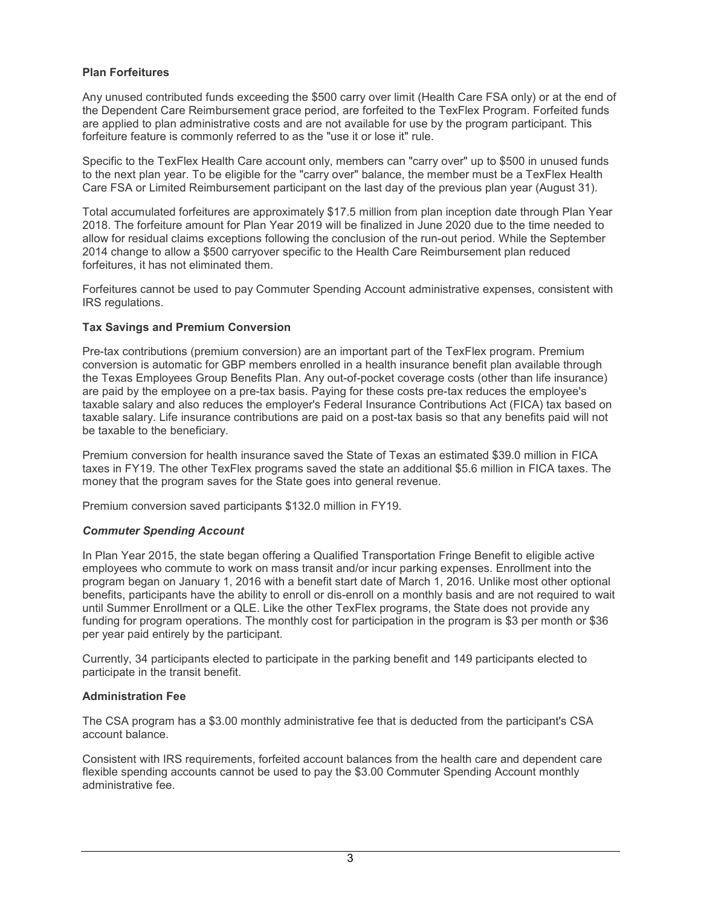# **Plan Forfeitures**

Any unused contributed funds exceeding the \$500 carry over limit (Health Care FSA only) or at the end of the Dependent Care Reimbursement grace period, are forfeited to the TexFlex Program. Forfeited funds are applied to plan administrative costs and are not available for use by the program participant. This forfeiture feature is commonly referred to as the "use it or lose it" rule.

Specific to the TexFlex Health Care account only, members can "carry over" up to \$500 in unused funds to the next plan year. To be eligible for the "carry over" balance, the member must be a TexFlex Health Care FSA or Limited Reimbursement participant on the last day of the previous plan year (August 31).

Total accumulated forfeitures are approximately \$17.5 million from plan inception date through Plan Year 2018. The forfeiture amount for Plan Year 2019 will be finalized in June 2020 due to the time needed to allow for residual claims exceptions following the conclusion of the run-out period. While the September 2014 change to allow a \$500 carryover specific to the Health Care Reimbursement plan reduced forfeitures, it has not eliminated them.

Forfeitures cannot be used to pay Commuter Spending Account administrative expenses, consistent with IRS regulations.

# **Tax Savings and Premium Conversion**

Pre-tax contributions (premium conversion) are an important part of the TexFlex program. Premium conversion is automatic for GBP members enrolled in a health insurance benefit plan available through the Texas Employees Group Benefits Plan. Any out-of-pocket coverage costs (other than life insurance) are paid by the employee on a pre-tax basis. Paying for these costs pre-tax reduces the employee's taxable salary and also reduces the employer's Federal Insurance Contributions Act (FICA) tax based on taxable salary. Life insurance contributions are paid on a post-tax basis so that any benefits paid will not be taxable to the beneficiary.

Premium conversion for health insurance saved the State of Texas an estimated \$39.0 million in FICA taxes in FY19. The other TexFlex programs saved the state an additional \$5.6 million in FICA taxes. The money that the program saves for the State goes into general revenue.

Premium conversion saved participants \$132.0 million in FY19.

## *Commuter Spending Account*

In Plan Year 2015, the state began offering a Qualified Transportation Fringe Benefit to eligible active employees who commute to work on mass transit and/or incur parking expenses. Enrollment into the program began on January 1, 2016 with a benefit start date of March 1, 2016. Unlike most other optional benefits, participants have the ability to enroll or dis-enroll on a monthly basis and are not required to wait until Summer Enrollment or a QLE. Like the other TexFlex programs, the State does not provide any funding for program operations. The monthly cost for participation in the program is \$3 per month or \$36 per year paid entirely by the participant.

Currently, 34 participants elected to participate in the parking benefit and 149 participants elected to participate in the transit benefit.

## **Administration Fee**

The CSA program has a \$3.00 monthly administrative fee that is deducted from the participant's CSA account balance.

Consistent with IRS requirements, forfeited account balances from the health care and dependent care flexible spending accounts cannot be used to pay the \$3.00 Commuter Spending Account monthly administrative fee.